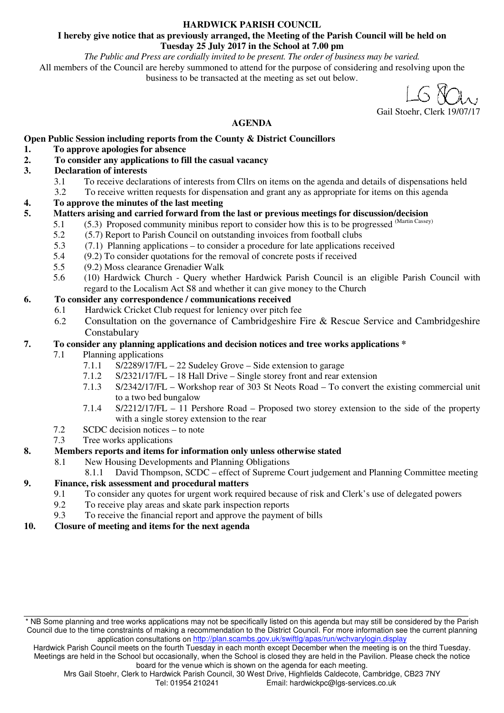#### **HARDWICK PARISH COUNCIL**

#### **I hereby give notice that as previously arranged, the Meeting of the Parish Council will be held on Tuesday 25 July 2017 in the School at 7.00 pm**

#### *The Public and Press are cordially invited to be present. The order of business may be varied.*

All members of the Council are hereby summoned to attend for the purpose of considering and resolving upon the business to be transacted at the meeting as set out below.

Gail Stoehr, Clerk 19/07/17

## **AGENDA**

#### **Open Public Session including reports from the County & District Councillors**

#### **1. To approve apologies for absence**

- **2. To consider any applications to fill the casual vacancy**
- **3. Declaration of interests** 
	- 3.1 To receive declarations of interests from Cllrs on items on the agenda and details of dispensations held<br>3.2 To receive written requests for dispensation and grant any as appropriate for items on this agenda
	- 3.2 To receive written requests for dispensation and grant any as appropriate for items on this agenda

#### **4. To approve the minutes of the last meeting**

- **5. Matters arising and carried forward from the last or previous meetings for discussion/decision** 
	- 5.1 (5.3) Proposed community minibus report to consider how this is to be progressed (Martin Cassey)
	- 5.2 (5.7) Report to Parish Council on outstanding invoices from football clubs
	- 5.3 (7.1) Planning applications to consider a procedure for late applications received
	- 5.4 (9.2) To consider quotations for the removal of concrete posts if received
	- 5.5 (9.2) Moss clearance Grenadier Walk
	- 5.6 (10) Hardwick Church Query whether Hardwick Parish Council is an eligible Parish Council with regard to the Localism Act S8 and whether it can give money to the Church

#### **6. To consider any correspondence / communications received**

- 6.1 Hardwick Cricket Club request for leniency over pitch fee
	- 6.2 Consultation on the governance of Cambridgeshire Fire & Rescue Service and Cambridgeshire Constabulary

#### **7. To consider any planning applications and decision notices and tree works applications \***

- 7.1 Planning applications
	- 7.1.1 S/2289/17/FL 22 Sudeley Grove Side extension to garage
	- 7.1.2 S/2321/17/FL 18 Hall Drive Single storey front and rear extension<br>7.1.3 S/2342/17/FL Workshop rear of 303 St Neots Road To convert the
	- $S/2342/17/FL$  Workshop rear of 303 St Neots Road To convert the existing commercial unit to a two bed bungalow
	- 7.1.4 S/2212/17/FL 11 Pershore Road Proposed two storey extension to the side of the property with a single storey extension to the rear
- 7.2 SCDC decision notices to note
- 7.3 Tree works applications

## **8. Members reports and items for information only unless otherwise stated**

8.1 New Housing Developments and Planning Obligations

8.1.1 David Thompson, SCDC – effect of Supreme Court judgement and Planning Committee meeting

## **9. Finance, risk assessment and procedural matters**

- 9.1 To consider any quotes for urgent work required because of risk and Clerk's use of delegated powers
- 9.2 To receive play areas and skate park inspection reports
- 9.3 To receive the financial report and approve the payment of bills
- **10. Closure of meeting and items for the next agenda**

<sup>\*</sup> NB Some planning and tree works applications may not be specifically listed on this agenda but may still be considered by the Parish Council due to the time constraints of making a recommendation to the District Council. For more information see the current planning application consultations on http://plan.scambs.gov.uk/swiftlg/apas/run/wchvarylogin.display

Hardwick Parish Council meets on the fourth Tuesday in each month except December when the meeting is on the third Tuesday. Meetings are held in the School but occasionally, when the School is closed they are held in the Pavilion. Please check the notice board for the venue which is shown on the agenda for each meeting.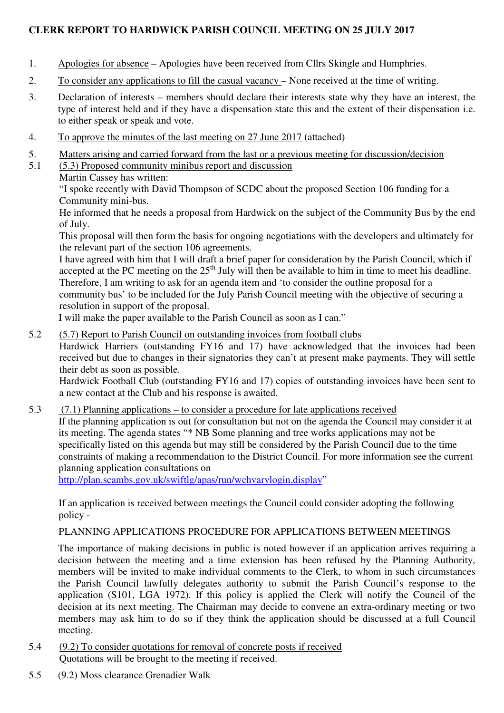## **CLERK REPORT TO HARDWICK PARISH COUNCIL MEETING ON 25 JULY 2017**

- 1. Apologies for absence Apologies have been received from Cllrs Skingle and Humphries.
- 2. To consider any applications to fill the casual vacancy None received at the time of writing.
- 3. Declaration of interests members should declare their interests state why they have an interest, the type of interest held and if they have a dispensation state this and the extent of their dispensation i.e. to either speak or speak and vote.
- 4. To approve the minutes of the last meeting on 27 June 2017 (attached)
- 5. Matters arising and carried forward from the last or a previous meeting for discussion/decision
- 5.1 (5.3) Proposed community minibus report and discussion
	- Martin Cassey has written:

"I spoke recently with David Thompson of SCDC about the proposed Section 106 funding for a Community mini-bus.

He informed that he needs a proposal from Hardwick on the subject of the Community Bus by the end of July.

This proposal will then form the basis for ongoing negotiations with the developers and ultimately for the relevant part of the section 106 agreements.

I have agreed with him that I will draft a brief paper for consideration by the Parish Council, which if accepted at the PC meeting on the  $25<sup>th</sup>$  July will then be available to him in time to meet his deadline. Therefore, I am writing to ask for an agenda item and 'to consider the outline proposal for a community bus' to be included for the July Parish Council meeting with the objective of securing a

resolution in support of the proposal.

I will make the paper available to the Parish Council as soon as I can."

5.2 (5.7) Report to Parish Council on outstanding invoices from football clubs

Hardwick Harriers (outstanding FY16 and 17) have acknowledged that the invoices had been received but due to changes in their signatories they can't at present make payments. They will settle their debt as soon as possible.

Hardwick Football Club (outstanding FY16 and 17) copies of outstanding invoices have been sent to a new contact at the Club and his response is awaited.

5.3 (7.1) Planning applications – to consider a procedure for late applications received If the planning application is out for consultation but not on the agenda the Council may consider it at its meeting. The agenda states "\* NB Some planning and tree works applications may not be specifically listed on this agenda but may still be considered by the Parish Council due to the time constraints of making a recommendation to the District Council. For more information see the current planning application consultations on

http://plan.scambs.gov.uk/swiftlg/apas/run/wchvarylogin.display"

If an application is received between meetings the Council could consider adopting the following policy -

## PLANNING APPLICATIONS PROCEDURE FOR APPLICATIONS BETWEEN MEETINGS

The importance of making decisions in public is noted however if an application arrives requiring a decision between the meeting and a time extension has been refused by the Planning Authority, members will be invited to make individual comments to the Clerk, to whom in such circumstances the Parish Council lawfully delegates authority to submit the Parish Council's response to the application (S101, LGA 1972). If this policy is applied the Clerk will notify the Council of the decision at its next meeting. The Chairman may decide to convene an extra-ordinary meeting or two members may ask him to do so if they think the application should be discussed at a full Council meeting.

- 5.4 (9.2) To consider quotations for removal of concrete posts if received Quotations will be brought to the meeting if received.
- 5.5 (9.2) Moss clearance Grenadier Walk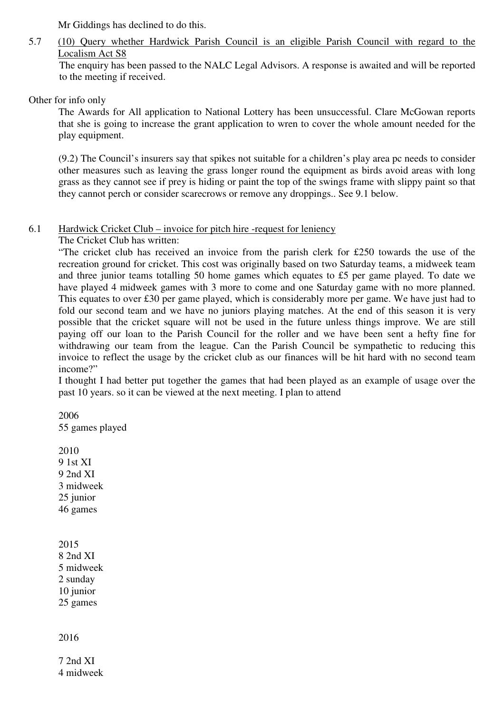Mr Giddings has declined to do this.

# 5.7 (10) Query whether Hardwick Parish Council is an eligible Parish Council with regard to the Localism Act S8

The enquiry has been passed to the NALC Legal Advisors. A response is awaited and will be reported to the meeting if received.

Other for info only

The Awards for All application to National Lottery has been unsuccessful. Clare McGowan reports that she is going to increase the grant application to wren to cover the whole amount needed for the play equipment.

(9.2) The Council's insurers say that spikes not suitable for a children's play area pc needs to consider other measures such as leaving the grass longer round the equipment as birds avoid areas with long grass as they cannot see if prey is hiding or paint the top of the swings frame with slippy paint so that they cannot perch or consider scarecrows or remove any droppings.. See 9.1 below.

## 6.1 Hardwick Cricket Club – invoice for pitch hire -request for leniency

The Cricket Club has written:

 "The cricket club has received an invoice from the parish clerk for £250 towards the use of the recreation ground for cricket. This cost was originally based on two Saturday teams, a midweek team and three junior teams totalling 50 home games which equates to £5 per game played. To date we have played 4 midweek games with 3 more to come and one Saturday game with no more planned. This equates to over £30 per game played, which is considerably more per game. We have just had to fold our second team and we have no juniors playing matches. At the end of this season it is very possible that the cricket square will not be used in the future unless things improve. We are still paying off our loan to the Parish Council for the roller and we have been sent a hefty fine for withdrawing our team from the league. Can the Parish Council be sympathetic to reducing this invoice to reflect the usage by the cricket club as our finances will be hit hard with no second team income?"

I thought I had better put together the games that had been played as an example of usage over the past 10 years. so it can be viewed at the next meeting. I plan to attend

2006 55 games played

2010 9 1st XI 9 2nd XI 3 midweek 25 junior 46 games

2015 8 2nd XI 5 midweek 2 sunday 10 junior 25 games

2016

7 2nd XI 4 midweek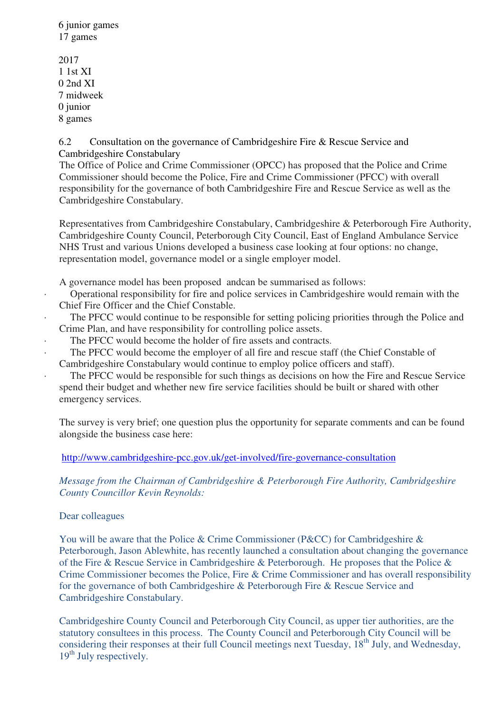6 junior games 17 games

2017 1 1st XI 0 2nd XI 7 midweek 0 junior 8 games

6.2 Consultation on the governance of Cambridgeshire Fire & Rescue Service and Cambridgeshire Constabulary

The Office of Police and Crime Commissioner (OPCC) has proposed that the Police and Crime Commissioner should become the Police, Fire and Crime Commissioner (PFCC) with overall responsibility for the governance of both Cambridgeshire Fire and Rescue Service as well as the Cambridgeshire Constabulary.

Representatives from Cambridgeshire Constabulary, Cambridgeshire & Peterborough Fire Authority, Cambridgeshire County Council, Peterborough City Council, East of England Ambulance Service NHS Trust and various Unions developed a business case looking at four options: no change, representation model, governance model or a single employer model.

A governance model has been proposed andcan be summarised as follows:

- · Operational responsibility for fire and police services in Cambridgeshire would remain with the Chief Fire Officer and the Chief Constable.
- The PFCC would continue to be responsible for setting policing priorities through the Police and Crime Plan, and have responsibility for controlling police assets.
- The PFCC would become the holder of fire assets and contracts.
- The PFCC would become the employer of all fire and rescue staff (the Chief Constable of Cambridgeshire Constabulary would continue to employ police officers and staff).
	- The PFCC would be responsible for such things as decisions on how the Fire and Rescue Service spend their budget and whether new fire service facilities should be built or shared with other emergency services.

The survey is very brief; one question plus the opportunity for separate comments and can be found alongside the business case here:

http://www.cambridgeshire-pcc.gov.uk/get-involved/fire-governance-consultation

*Message from the Chairman of Cambridgeshire & Peterborough Fire Authority, Cambridgeshire County Councillor Kevin Reynolds:* 

## Dear colleagues

You will be aware that the Police & Crime Commissioner (P&CC) for Cambridgeshire & Peterborough, Jason Ablewhite, has recently launched a consultation about changing the governance of the Fire & Rescue Service in Cambridgeshire & Peterborough. He proposes that the Police & Crime Commissioner becomes the Police, Fire & Crime Commissioner and has overall responsibility for the governance of both Cambridgeshire & Peterborough Fire & Rescue Service and Cambridgeshire Constabulary.

Cambridgeshire County Council and Peterborough City Council, as upper tier authorities, are the statutory consultees in this process. The County Council and Peterborough City Council will be considering their responses at their full Council meetings next Tuesday,  $18<sup>th</sup>$  July, and Wednesday,  $19<sup>th</sup>$  July respectively.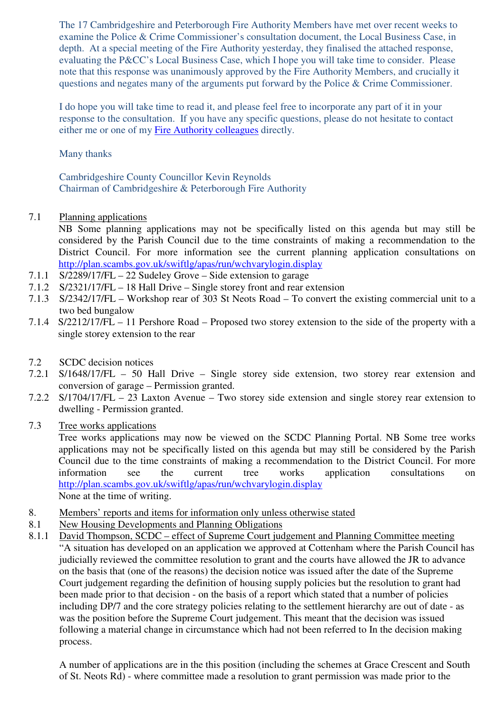The 17 Cambridgeshire and Peterborough Fire Authority Members have met over recent weeks to examine the Police & Crime Commissioner's consultation document, the Local Business Case, in depth. At a special meeting of the Fire Authority yesterday, they finalised the attached response, evaluating the P&CC's Local Business Case, which I hope you will take time to consider. Please note that this response was unanimously approved by the Fire Authority Members, and crucially it questions and negates many of the arguments put forward by the Police & Crime Commissioner.

I do hope you will take time to read it, and please feel free to incorporate any part of it in your response to the consultation. If you have any specific questions, please do not hesitate to contact either me or one of my Fire Authority colleagues directly.

Many thanks

Cambridgeshire County Councillor Kevin Reynolds Chairman of Cambridgeshire & Peterborough Fire Authority

- 7.1 Planning applications
	- NB Some planning applications may not be specifically listed on this agenda but may still be considered by the Parish Council due to the time constraints of making a recommendation to the District Council. For more information see the current planning application consultations on http://plan.scambs.gov.uk/swiftlg/apas/run/wchvarylogin.display
- 7.1.1 S/2289/17/FL 22 Sudeley Grove Side extension to garage
- 7.1.2 S/2321/17/FL 18 Hall Drive Single storey front and rear extension
- 7.1.3 S/2342/17/FL Workshop rear of 303 St Neots Road To convert the existing commercial unit to a two bed bungalow
- 7.1.4 S/2212/17/FL 11 Pershore Road Proposed two storey extension to the side of the property with a single storey extension to the rear
- 7.2 SCDC decision notices
- 7.2.1 S/1648/17/FL 50 Hall Drive Single storey side extension, two storey rear extension and conversion of garage – Permission granted.
- 7.2.2 S/1704/17/FL 23 Laxton Avenue Two storey side extension and single storey rear extension to dwelling - Permission granted.
- 7.3 Tree works applications

Tree works applications may now be viewed on the SCDC Planning Portal. NB Some tree works applications may not be specifically listed on this agenda but may still be considered by the Parish Council due to the time constraints of making a recommendation to the District Council. For more information see the current tree works application consultations on http://plan.scambs.gov.uk/swiftlg/apas/run/wchvarylogin.display None at the time of writing.

- 8. Members' reports and items for information only unless otherwise stated
- 8.1 New Housing Developments and Planning Obligations
- 8.1.1 David Thompson, SCDC effect of Supreme Court judgement and Planning Committee meeting "A situation has developed on an application we approved at Cottenham where the Parish Council has judicially reviewed the committee resolution to grant and the courts have allowed the JR to advance on the basis that (one of the reasons) the decision notice was issued after the date of the Supreme Court judgement regarding the definition of housing supply policies but the resolution to grant had been made prior to that decision - on the basis of a report which stated that a number of policies including DP/7 and the core strategy policies relating to the settlement hierarchy are out of date - as was the position before the Supreme Court judgement. This meant that the decision was issued following a material change in circumstance which had not been referred to In the decision making process.

A number of applications are in the this position (including the schemes at Grace Crescent and South of St. Neots Rd) - where committee made a resolution to grant permission was made prior to the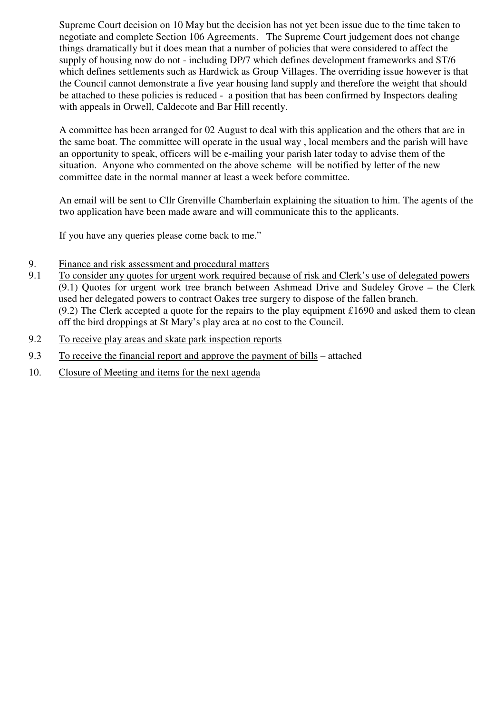Supreme Court decision on 10 May but the decision has not yet been issue due to the time taken to negotiate and complete Section 106 Agreements. The Supreme Court judgement does not change things dramatically but it does mean that a number of policies that were considered to affect the supply of housing now do not - including DP/7 which defines development frameworks and ST/6 which defines settlements such as Hardwick as Group Villages. The overriding issue however is that the Council cannot demonstrate a five year housing land supply and therefore the weight that should be attached to these policies is reduced - a position that has been confirmed by Inspectors dealing with appeals in Orwell, Caldecote and Bar Hill recently.

A committee has been arranged for 02 August to deal with this application and the others that are in the same boat. The committee will operate in the usual way , local members and the parish will have an opportunity to speak, officers will be e-mailing your parish later today to advise them of the situation. Anyone who commented on the above scheme will be notified by letter of the new committee date in the normal manner at least a week before committee.

An email will be sent to Cllr Grenville Chamberlain explaining the situation to him. The agents of the two application have been made aware and will communicate this to the applicants.

If you have any queries please come back to me."

- 9. Finance and risk assessment and procedural matters<br>9.1 To consider any quotes for urgent work required bec
- To consider any quotes for urgent work required because of risk and Clerk's use of delegated powers (9.1) Quotes for urgent work tree branch between Ashmead Drive and Sudeley Grove – the Clerk used her delegated powers to contract Oakes tree surgery to dispose of the fallen branch.  $(9.2)$  The Clerk accepted a quote for the repairs to the play equipment £1690 and asked them to clean off the bird droppings at St Mary's play area at no cost to the Council.
- 9.2 To receive play areas and skate park inspection reports
- 9.3 To receive the financial report and approve the payment of bills attached
- 10. Closure of Meeting and items for the next agenda